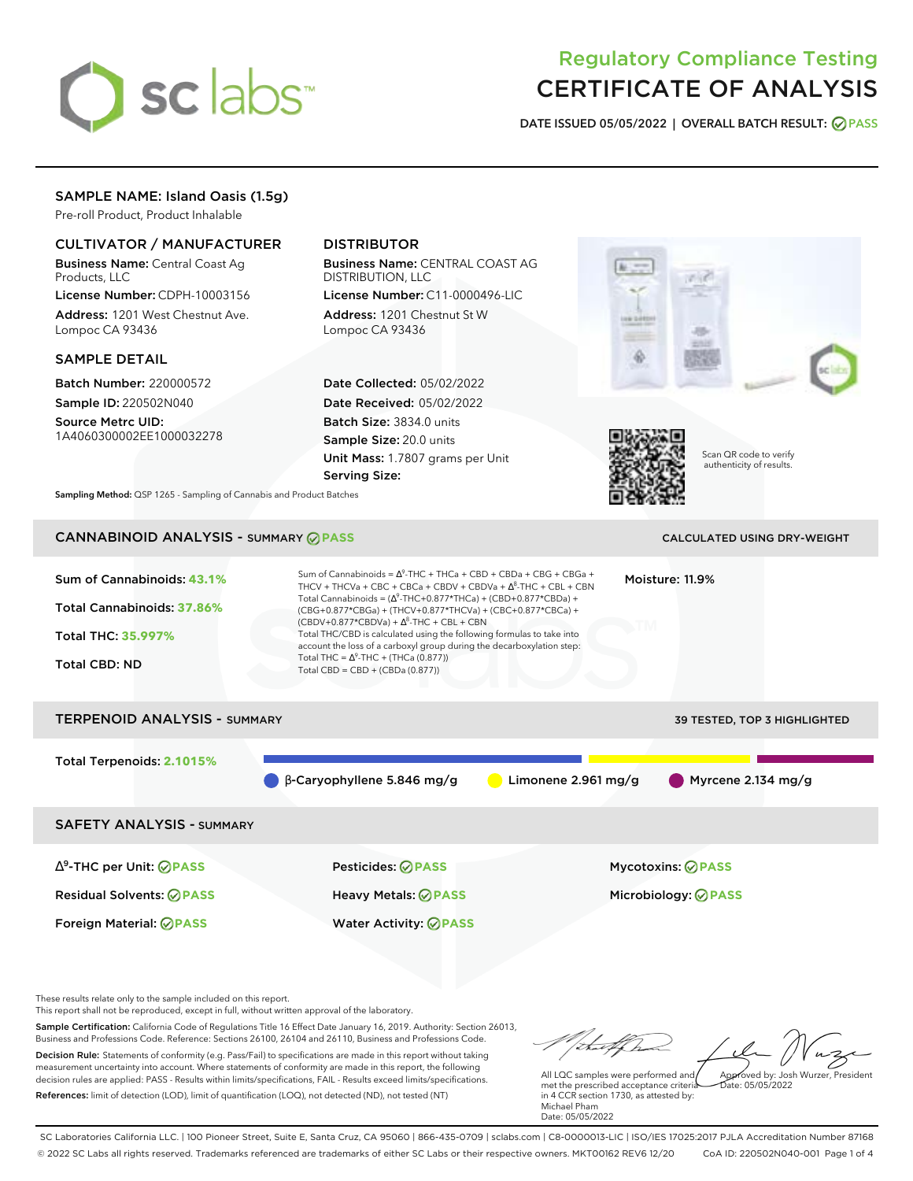

# Regulatory Compliance Testing CERTIFICATE OF ANALYSIS

**DATE ISSUED 05/05/2022 | OVERALL BATCH RESULT: PASS**

## SAMPLE NAME: Island Oasis (1.5g)

Pre-roll Product, Product Inhalable

## CULTIVATOR / MANUFACTURER

Business Name: Central Coast Ag Products, LLC

License Number: CDPH-10003156 Address: 1201 West Chestnut Ave. Lompoc CA 93436

#### SAMPLE DETAIL

Batch Number: 220000572 Sample ID: 220502N040

Source Metrc UID: 1A4060300002EE1000032278

# DISTRIBUTOR

Business Name: CENTRAL COAST AG DISTRIBUTION, LLC

License Number: C11-0000496-LIC Address: 1201 Chestnut St W Lompoc CA 93436

Date Collected: 05/02/2022 Date Received: 05/02/2022 Batch Size: 3834.0 units Sample Size: 20.0 units Unit Mass: 1.7807 grams per Unit Serving Size:





Scan QR code to verify authenticity of results.

**Sampling Method:** QSP 1265 - Sampling of Cannabis and Product Batches

## CANNABINOID ANALYSIS - SUMMARY **PASS** CALCULATED USING DRY-WEIGHT

| Sum of Cannabinoids: 43.1%<br>Total Cannabinoids: 37.86%<br><b>Total THC: 35.997%</b><br><b>Total CBD: ND</b> | Sum of Cannabinoids = $\Lambda^9$ -THC + THCa + CBD + CBDa + CBG + CBGa +<br>Moisture: 11.9%<br>THCV + THCVa + CBC + CBCa + CBDV + CBDVa + $\Delta^8$ -THC + CBL + CBN<br>Total Cannabinoids = $(\Delta^9$ -THC+0.877*THCa) + (CBD+0.877*CBDa) +<br>(CBG+0.877*CBGa) + (THCV+0.877*THCVa) + (CBC+0.877*CBCa) +<br>$(CBDV+0.877*CBDVa) + \Delta^8$ -THC + CBL + CBN<br>Total THC/CBD is calculated using the following formulas to take into<br>account the loss of a carboxyl group during the decarboxylation step:<br>Total THC = $\Delta^9$ -THC + (THCa (0.877))<br>Total CBD = $CBD + (CBDa (0.877))$ |                     |                            |  |  |  |
|---------------------------------------------------------------------------------------------------------------|------------------------------------------------------------------------------------------------------------------------------------------------------------------------------------------------------------------------------------------------------------------------------------------------------------------------------------------------------------------------------------------------------------------------------------------------------------------------------------------------------------------------------------------------------------------------------------------------------------|---------------------|----------------------------|--|--|--|
| <b>TERPENOID ANALYSIS - SUMMARY</b><br>39 TESTED, TOP 3 HIGHLIGHTED                                           |                                                                                                                                                                                                                                                                                                                                                                                                                                                                                                                                                                                                            |                     |                            |  |  |  |
| Total Terpenoids: 2.1015%                                                                                     | $\beta$ -Caryophyllene 5.846 mg/g                                                                                                                                                                                                                                                                                                                                                                                                                                                                                                                                                                          | Limonene 2.961 mg/g | Myrcene 2.134 mg/g         |  |  |  |
| <b>SAFETY ANALYSIS - SUMMARY</b>                                                                              |                                                                                                                                                                                                                                                                                                                                                                                                                                                                                                                                                                                                            |                     |                            |  |  |  |
| ∆ <sup>9</sup> -THC per Unit: <b>⊘ PASS</b>                                                                   | Pesticides: ⊘PASS                                                                                                                                                                                                                                                                                                                                                                                                                                                                                                                                                                                          |                     | Mycotoxins: ⊘PASS          |  |  |  |
| <b>Residual Solvents: ⊘PASS</b>                                                                               | <b>Heavy Metals: ⊘ PASS</b>                                                                                                                                                                                                                                                                                                                                                                                                                                                                                                                                                                                |                     | Microbiology: <b>⊘PASS</b> |  |  |  |
| Foreign Material: <b>⊘ PASS</b>                                                                               | <b>Water Activity: ◎ PASS</b>                                                                                                                                                                                                                                                                                                                                                                                                                                                                                                                                                                              |                     |                            |  |  |  |

These results relate only to the sample included on this report.

This report shall not be reproduced, except in full, without written approval of the laboratory.

Sample Certification: California Code of Regulations Title 16 Effect Date January 16, 2019. Authority: Section 26013, Business and Professions Code. Reference: Sections 26100, 26104 and 26110, Business and Professions Code. Decision Rule: Statements of conformity (e.g. Pass/Fail) to specifications are made in this report without taking measurement uncertainty into account. Where statements of conformity are made in this report, the following decision rules are applied: PASS - Results within limits/specifications, FAIL - Results exceed limits/specifications.

References: limit of detection (LOD), limit of quantification (LOQ), not detected (ND), not tested (NT)

that form Approved by: Josh Wurzer, President

Date: 05/05/2022

All LQC samples were performed and met the prescribed acceptance criteria in 4 CCR section 1730, as attested by: Michael Pham Date: 05/05/2022

SC Laboratories California LLC. | 100 Pioneer Street, Suite E, Santa Cruz, CA 95060 | 866-435-0709 | sclabs.com | C8-0000013-LIC | ISO/IES 17025:2017 PJLA Accreditation Number 87168 © 2022 SC Labs all rights reserved. Trademarks referenced are trademarks of either SC Labs or their respective owners. MKT00162 REV6 12/20 CoA ID: 220502N040-001 Page 1 of 4